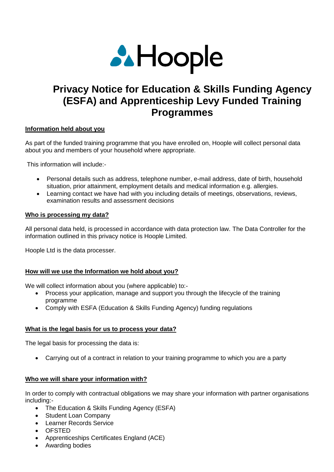

# **Privacy Notice for Education & Skills Funding Agency (ESFA) and Apprenticeship Levy Funded Training Programmes**

## **Information held about you**

As part of the funded training programme that you have enrolled on, Hoople will collect personal data about you and members of your household where appropriate.

This information will include:-

- Personal details such as address, telephone number, e-mail address, date of birth, household situation, prior attainment, employment details and medical information e.g. allergies.
- Learning contact we have had with you including details of meetings, observations, reviews, examination results and assessment decisions

### **Who is processing my data?**

All personal data held, is processed in accordance with data protection law. The Data Controller for the information outlined in this privacy notice is Hoople Limited.

Hoople Ltd is the data processer.

## **How will we use the Information we hold about you?**

We will collect information about you (where applicable) to:-

- Process your application, manage and support you through the lifecycle of the training programme
- Comply with ESFA (Education & Skills Funding Agency) funding regulations

## **What is the legal basis for us to process your data?**

The legal basis for processing the data is:

Carrying out of a contract in relation to your training programme to which you are a party

#### **Who we will share your information with?**

In order to comply with contractual obligations we may share your information with partner organisations including:-

- The Education & Skills Funding Agency (ESFA)
- Student Loan Company
- Learner Records Service
- OFSTED
- Apprenticeships Certificates England (ACE)
- Awarding bodies